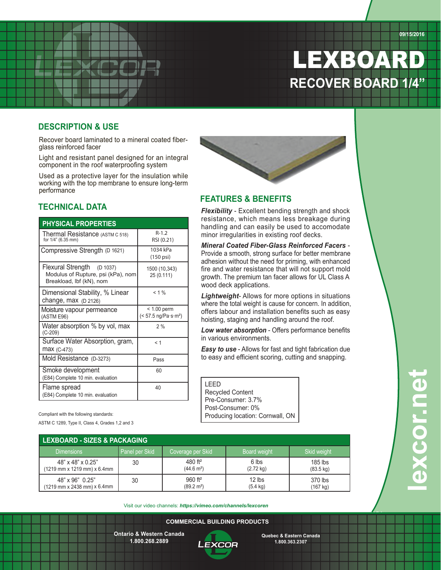# LEXBOAR **RECOVER BOARD 1/4"**

#### **DESCRIPTION & USE**

Recover board laminated to a mineral coated fiberglass reinforced facer

Light and resistant panel designed for an integral component in the roof waterproofing system

Used as a protective layer for the insulation while working with the top membrane to ensure long-term performance

### **TECHNICAL DATA**

| <b>PHYSICAL PROPERTIES</b>                                                                             | סופט וכ<br>handli                                                   |                                |
|--------------------------------------------------------------------------------------------------------|---------------------------------------------------------------------|--------------------------------|
| Thermal Resistance (ASTM C 518)<br>for 1/4" (6.35 mm)                                                  | $R-1.2$<br>RSI (0.21)                                               | minor i                        |
| Compressive Strength (D 1621)                                                                          | 1034 kPa<br>$(150 \text{ psi})$                                     | Minera<br>Provide<br>adhesi    |
| <b>Flexural Strength</b><br>(D 1037)<br>Modulus of Rupture, psi (kPa), nom<br>Breakload, lbf (kN), nom | 1500 (10,343)<br>25 (0.111)                                         | fire an<br>growth<br>wood c    |
| Dimensional Stability, % Linear<br>change, $max (D 2126)$                                              | $< 1\%$                                                             | Lightv<br>where t              |
| Moisture vapour permeance<br>(ASTM E96)                                                                | $< 1.00$ perm<br>$(< 57.5$ ng/Pa $\cdot$ s $\cdot$ m <sup>2</sup> ) | offers I<br>hoistin            |
| Water absorption % by vol, max<br>$(C-209)$                                                            | 2%                                                                  | Low w                          |
| Surface Water Absorption, gram,<br><b>max</b> (C-473)                                                  | < 1                                                                 | in varic<br>Easy t             |
| Mold Resistance (D-3273)                                                                               | Pass                                                                | to easy                        |
| Smoke development<br>(E84) Complete 10 min. evaluation                                                 | 60                                                                  |                                |
| Flame spread<br>(E84) Complete 10 min. evaluation                                                      | 40                                                                  | LEED<br>Recyo<br>$Dr_{\Omega}$ |

#### **FEATURES & BENEFITS**

*Flexibility* - Excellent bending strength and shock resistance, which means less breakage during handling and can easily be used to accomodate minor irregularities in existing roof decks.

*Mineral Coated Fiber-Glass Reinforced Facers* - Provide a smooth, strong surface for better membrane adhesion without the need for priming, with enhanced fire and water resistance that will not support mold growth. The premium tan facer allows for UL Class A wood deck applications.

*Lightweight*- Allows for more options in situations where the total weight is cause for concern. In addition, offers labour and installation benefits such as easy hoisting, staging and handling around the roof.

*Low water absorption* - Offers performance benefits in various environments.

*Easy to use* - Allows for fast and tight fabrication due to easy and efficient scoring, cutting and snapping.

| I FFD                            |
|----------------------------------|
| <b>Recycled Content</b>          |
| Pre-Consumer: 3.7%               |
| Post-Consumer: 0%                |
| Producing location: Cornwall, ON |

Compliant with the following standards:

ASTM C 1289, Type II, Class 4, Grades 1,2 and 3

| <b>LEXBOARD - SIZES &amp; PACKAGING</b> |                |                       |                     |                     |
|-----------------------------------------|----------------|-----------------------|---------------------|---------------------|
| <b>Dimensions</b>                       | Panel per Skid | Coverage per Skid     | Board weight        | <b>Skid weight</b>  |
| 48" x 48" x 0.25"                       | 30             | 480 $ft^2$            | 6 lbs               | $185$ lbs           |
| (1219 mm x 1219 mm) x 6.4mm             |                | $(44.6 \text{ m}^2)$  | $(2.72 \text{ kg})$ | $(83.5 \text{ kg})$ |
| 48" x 96" 0.25"                         | 30             | $960$ ft <sup>2</sup> | $12$ lbs            | 370 lbs             |
| (1219 mm x 2438 mm) x 6.4mm             |                | $(89.2 \text{ m}^2)$  | $(5.4 \text{ kg})$  | $(167 \text{ kg})$  |

Visit our video channels: *https://vimeo.com/channels/lexcoren*

**ONTARIO ANS WESTERN CANADA QUÉBEC AND EASTERN CANADA 52 Bramwin Court, COMMERCIAL BUILDING PRODUCTS COMMERCIAL BUILDING PRODUCTS**

**Ontario & Western Canada Ontario & Western Canada 1.800.268.2889 1.800.268.2889**

**T. 905. 792.8800** <u>-EXLUM</u> **F. 905.792.8801**

**Brampton, ON L6T 5G2**

**1 800 363.2307 Quebec & Eastern Canada Quebec & Eastern Canada 1.800.363.2307 1.800.363.2307**

**Distributed by:**

**fransyl.com**